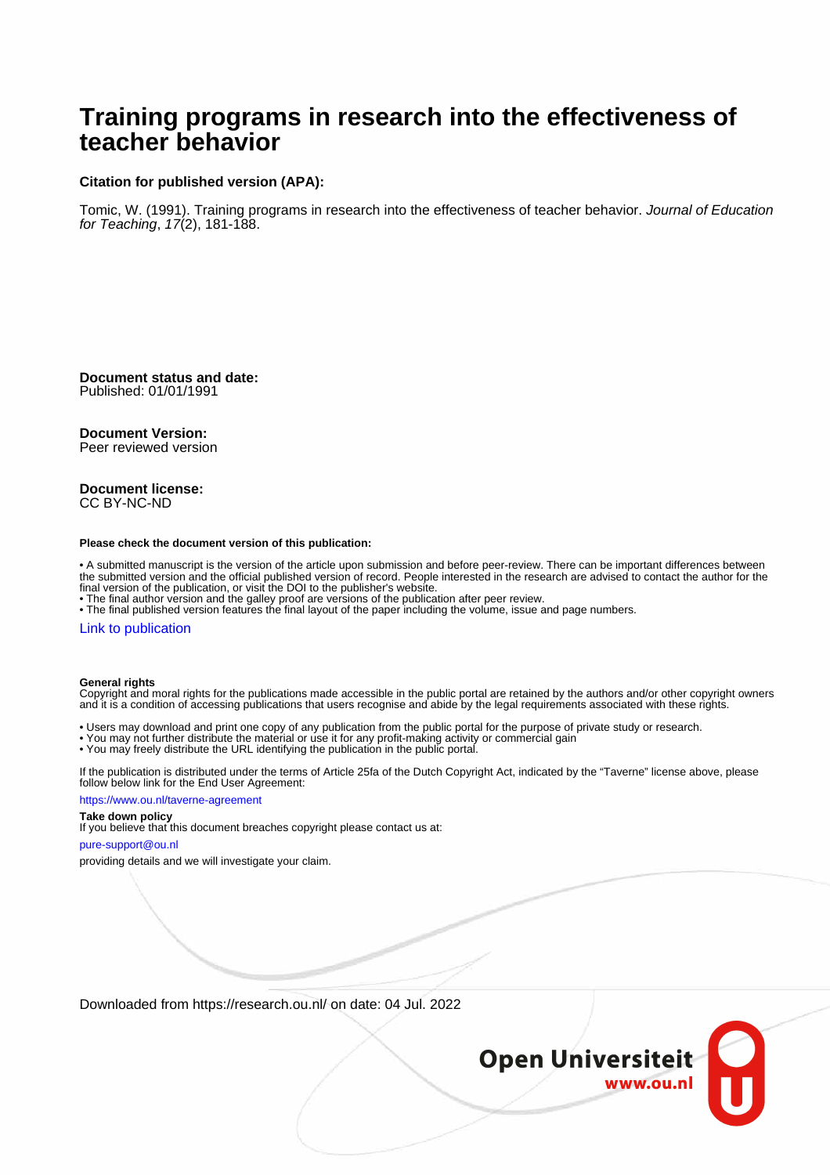# **Training programs in research into the effectiveness of teacher behavior**

## **Citation for published version (APA):**

Tomic, W. (1991). Training programs in research into the effectiveness of teacher behavior. Journal of Education for Teaching, 17(2), 181-188.

**Document status and date:** Published: 01/01/1991

### **Document Version:**

Peer reviewed version

### **Document license:** CC BY-NC-ND

### **Please check the document version of this publication:**

• A submitted manuscript is the version of the article upon submission and before peer-review. There can be important differences between the submitted version and the official published version of record. People interested in the research are advised to contact the author for the final version of the publication, or visit the DOI to the publisher's website.

• The final author version and the galley proof are versions of the publication after peer review.

• The final published version features the final layout of the paper including the volume, issue and page numbers.

### [Link to publication](https://research.ou.nl/en/publications/4c8ceea3-0a2c-4afd-85ce-2b4105b44914)

### **General rights**

Copyright and moral rights for the publications made accessible in the public portal are retained by the authors and/or other copyright owners and it is a condition of accessing publications that users recognise and abide by the legal requirements associated with these rights.

- Users may download and print one copy of any publication from the public portal for the purpose of private study or research.
- You may not further distribute the material or use it for any profit-making activity or commercial gain
- You may freely distribute the URL identifying the publication in the public portal.

If the publication is distributed under the terms of Article 25fa of the Dutch Copyright Act, indicated by the "Taverne" license above, please follow below link for the End User Agreement:

### https://www.ou.nl/taverne-agreement

## **Take down policy**

If you believe that this document breaches copyright please contact us at:

### pure-support@ou.nl

providing details and we will investigate your claim.

Downloaded from https://research.ou.nl/ on date: 04 Jul. 2022

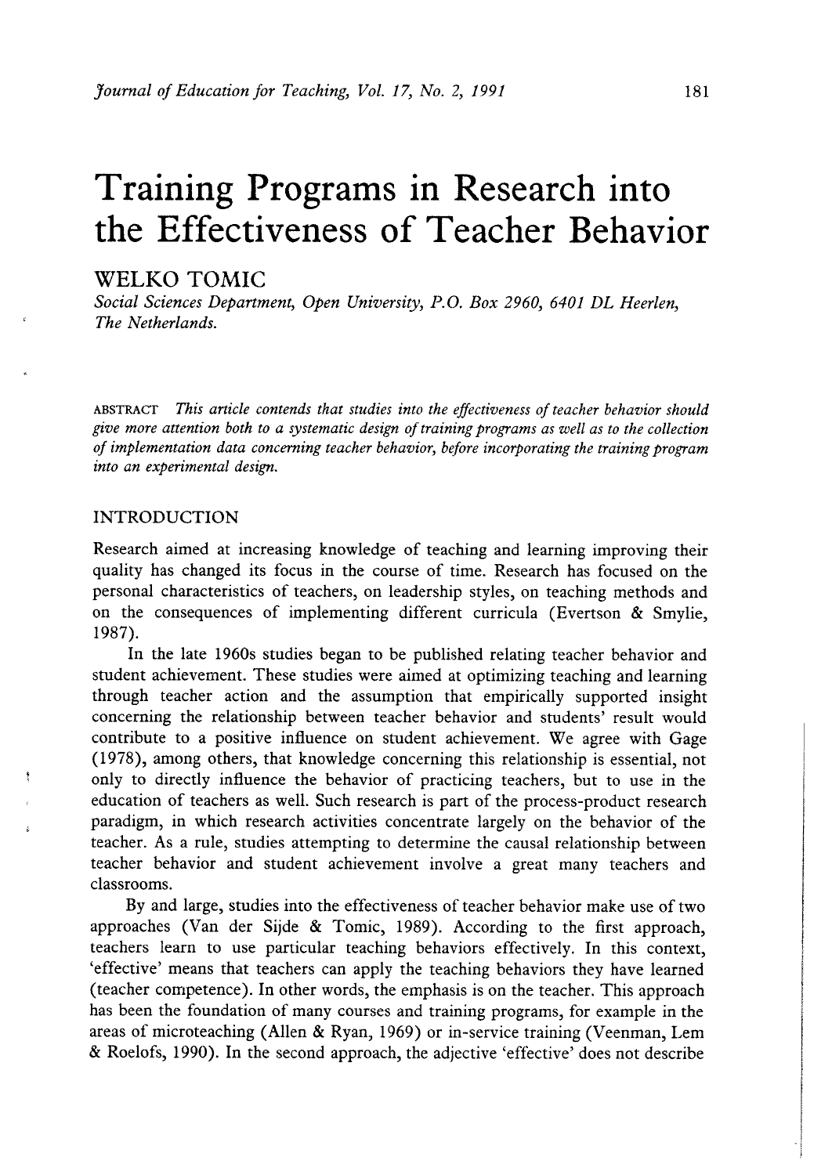# Training Programs in Research into the Effectiveness of Teacher Behavior

## **WELKO TOMIC**

Social Sciences Department, Open University, P.O. Box 2960, 6401 DL Heerlen, The Netherlands.

This article contends that studies into the effectiveness of teacher behavior should **ABSTRACT** give more attention both to a systematic design of training programs as well as to the collection of implementation data concerning teacher behavior, before incorporating the training program into an experimental design.

## **INTRODUCTION**

Research aimed at increasing knowledge of teaching and learning improving their quality has changed its focus in the course of time. Research has focused on the personal characteristics of teachers, on leadership styles, on teaching methods and on the consequences of implementing different curricula (Evertson & Smylie, 1987).

In the late 1960s studies began to be published relating teacher behavior and student achievement. These studies were aimed at optimizing teaching and learning through teacher action and the assumption that empirically supported insight concerning the relationship between teacher behavior and students' result would contribute to a positive influence on student achievement. We agree with Gage (1978), among others, that knowledge concerning this relationship is essential, not only to directly influence the behavior of practicing teachers, but to use in the education of teachers as well. Such research is part of the process-product research paradigm, in which research activities concentrate largely on the behavior of the teacher. As a rule, studies attempting to determine the causal relationship between teacher behavior and student achievement involve a great many teachers and classrooms.

By and large, studies into the effectiveness of teacher behavior make use of two approaches (Van der Sijde & Tomic, 1989). According to the first approach, teachers learn to use particular teaching behaviors effectively. In this context, 'effective' means that teachers can apply the teaching behaviors they have learned (teacher competence). In other words, the emphasis is on the teacher. This approach has been the foundation of many courses and training programs, for example in the areas of microteaching (Allen & Ryan, 1969) or in-service training (Veenman, Lem & Roelofs, 1990). In the second approach, the adjective 'effective' does not describe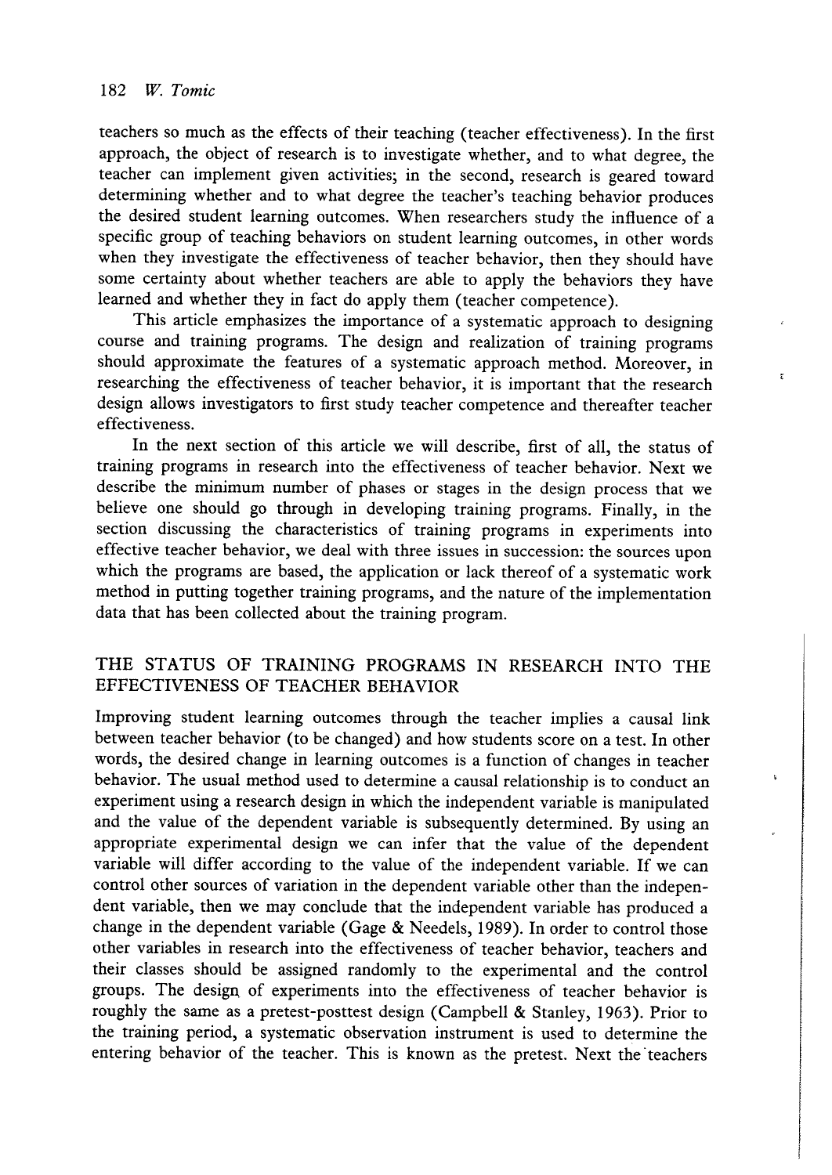teachers so much as the effects of their teaching (teacher effectiveness). In the first approach, the object of research is to investigate whether, and to what degree, the teacher can implement given activities; in the second, research is geared toward determining whether and to what degree the teacher's teaching behavior produces the desired student learning outcomes. When researchers study the influence of a specific group of teaching behaviors on student learning outcomes, in other words when they investigate the effectiveness of teacher behavior, then they should have some certainty about whether teachers are able to apply the behaviors they have learned and whether they in fact do apply them (teacher competence).

This article emphasizes the importance of a systematic approach to designing course and training programs. The design and realization of training programs should approximate the features of a systematic approach method. Moreover, in researching the effectiveness of teacher behavior, it is important that the research design allows investigators to first study teacher competence and thereafter teacher effectiveness.

 $\tilde{\epsilon}$ 

ţ.

In the next section of this article we will describe, first of all, the status of training programs in research into the effectiveness of teacher behavior. Next we describe the minimum number of phases or stages in the design process that we believe one should go through in developing training programs. Finally, in the section discussing the characteristics of training programs in experiments into effective teacher behavior, we deal with three issues in succession: the sources upon which the programs are based, the application or lack thereof of a systematic work method in putting together training programs, and the nature of the implementation data that has been collected about the training program.

## THE STATUS OF TRAINING PROGRAMS IN RESEARCH INTO THE EFFECTIVENESS OF TEACHER BEHAVIOR

Improving student learning outcomes through the teacher implies a causal link between teacher behavior (to be changed) and how students score on a test. In other words, the desired change in learning outcomes is a function of changes in teacher behavior. The usual method used to determine a causal relationship is to conduct an experiment using a research design in which the independent variable is manipulated and the value of the dependent variable is subsequently determined. By using an appropriate experimental design we can infer that the value of the dependent variable will differ according to the value of the independent variable. If we can control other sources of variation in the dependent variable other than the independent variable, then we may conclude that the independent variable has produced a change in the dependent variable (Gage & Needels, 1989). In order to control those other variables in research into the effectiveness of teacher behavior, teachers and their classes should be assigned randomly to the experimental and the control groups. The design of experiments into the effectiveness of teacher behavior is roughly the same as a pretest-posttest design (Campbell & Stanley, 1963). Prior to the training period, a systematic observation instrument is used to determine the entering behavior of the teacher. This is known as the pretest. Next the teachers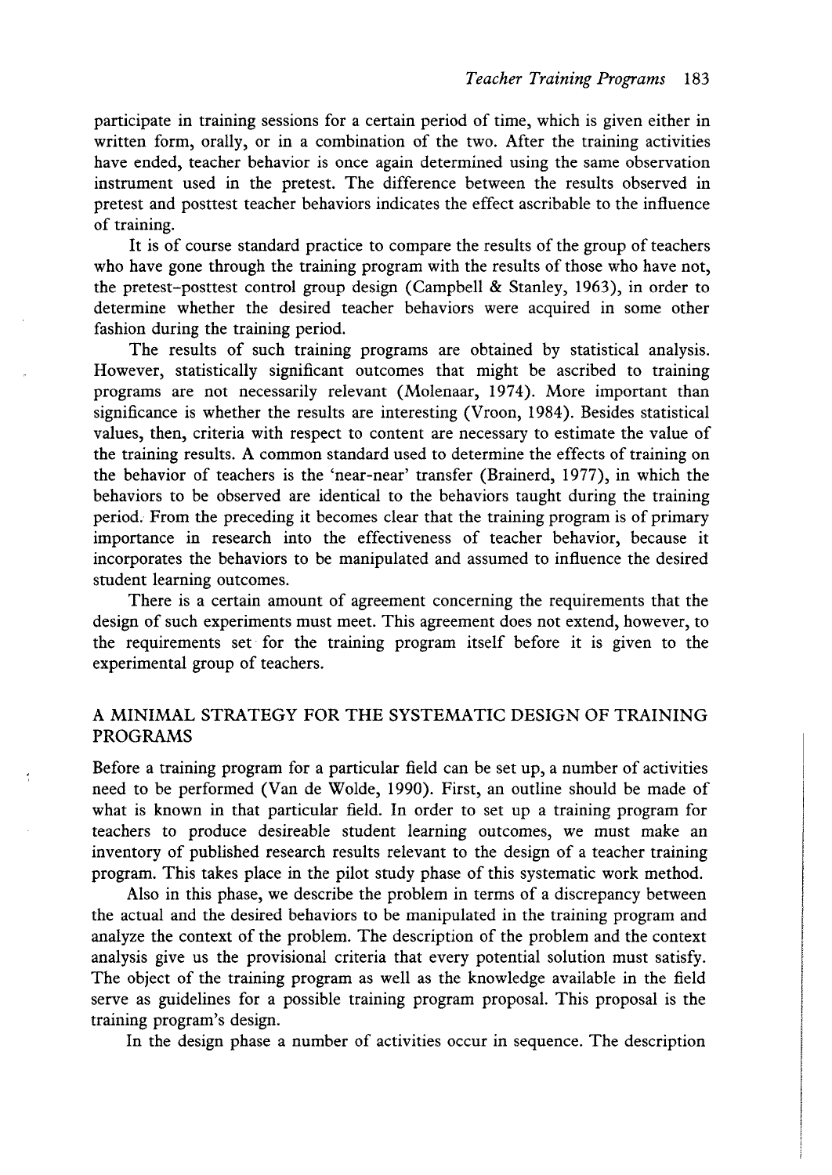participate in training sessions for a certain period of time, which is given either in written form, orally, or in a combination of the two. After the training activities have ended, teacher behavior is once again determined using the same observation instrument used in the pretest. The difference between the results observed in pretest and posttest teacher behaviors indicates the effect ascribable to the influence of training.

It is of course standard practice to compare the results of the group of teachers who have gone through the training program with the results of those who have not, the pretest-posttest control group design (Campbell & Stanley, 1963), in order to determine whether the desired teacher behaviors were acquired in some other fashion during the training period.

The results of such training programs are obtained by statistical analysis. However, statistically significant outcomes that might be ascribed to training programs are not necessarily relevant (Molenaar, 1974). More important than significance is whether the results are interesting (Vroon, 1984). Besides statistical values, then, criteria with respect to content are necessary to estimate the value of the training results. A common standard used to determine the effects of training on the behavior of teachers is the 'near-near' transfer (Brainerd, 1977), in which the behaviors to be observed are identical to the behaviors taught during the training period. From the preceding it becomes clear that the training program is of primary importance in research into the effectiveness of teacher behavior, because it incorporates the behaviors to be manipulated and assumed to influence the desired student learning outcomes.

There is a certain amount of agreement concerning the requirements that the design of such experiments must meet. This agreement does not extend, however, to the requirements set for the training program itself before it is given to the experimental group of teachers.

## A MINIMAL STRATEGY FOR THE SYSTEMATIC DESIGN OF TRAINING **PROGRAMS**

Before a training program for a particular field can be set up, a number of activities need to be performed (Van de Wolde, 1990). First, an outline should be made of what is known in that particular field. In order to set up a training program for teachers to produce desireable student learning outcomes, we must make an inventory of published research results relevant to the design of a teacher training program. This takes place in the pilot study phase of this systematic work method.

Also in this phase, we describe the problem in terms of a discrepancy between the actual and the desired behaviors to be manipulated in the training program and analyze the context of the problem. The description of the problem and the context analysis give us the provisional criteria that every potential solution must satisfy. The object of the training program as well as the knowledge available in the field serve as guidelines for a possible training program proposal. This proposal is the training program's design.

In the design phase a number of activities occur in sequence. The description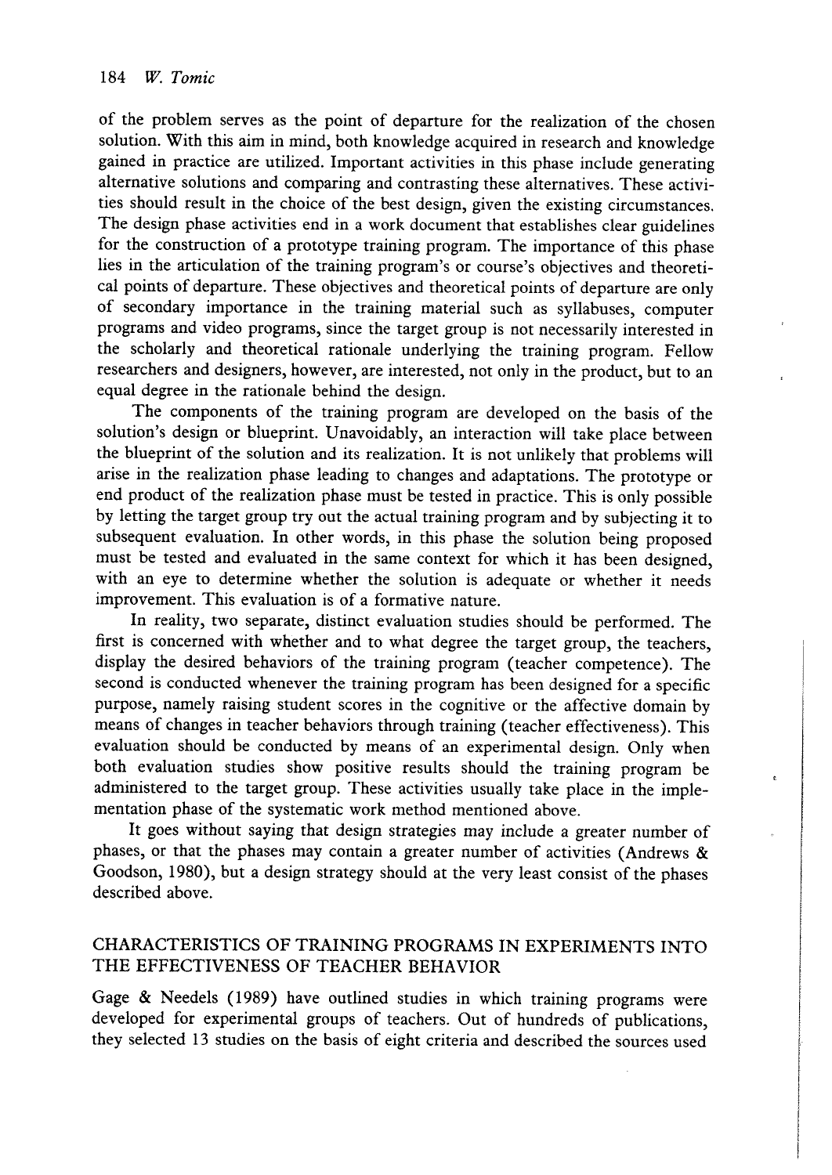of the problem serves as the point of departure for the realization of the chosen solution. With this aim in mind, both knowledge acquired in research and knowledge gained in practice are utilized. Important activities in this phase include generating alternative solutions and comparing and contrasting these alternatives. These activities should result in the choice of the best design, given the existing circumstances. The design phase activities end in a work document that establishes clear guidelines for the construction of a prototype training program. The importance of this phase lies in the articulation of the training program's or course's objectives and theoretical points of departure. These objectives and theoretical points of departure are only of secondary importance in the training material such as syllabuses, computer programs and video programs, since the target group is not necessarily interested in the scholarly and theoretical rationale underlying the training program. Fellow researchers and designers, however, are interested, not only in the product, but to an equal degree in the rationale behind the design.

The components of the training program are developed on the basis of the solution's design or blueprint. Unavoidably, an interaction will take place between the blueprint of the solution and its realization. It is not unlikely that problems will arise in the realization phase leading to changes and adaptations. The prototype or end product of the realization phase must be tested in practice. This is only possible by letting the target group try out the actual training program and by subjecting it to subsequent evaluation. In other words, in this phase the solution being proposed must be tested and evaluated in the same context for which it has been designed, with an eye to determine whether the solution is adequate or whether it needs improvement. This evaluation is of a formative nature.

In reality, two separate, distinct evaluation studies should be performed. The first is concerned with whether and to what degree the target group, the teachers, display the desired behaviors of the training program (teacher competence). The second is conducted whenever the training program has been designed for a specific purpose, namely raising student scores in the cognitive or the affective domain by means of changes in teacher behaviors through training (teacher effectiveness). This evaluation should be conducted by means of an experimental design. Only when both evaluation studies show positive results should the training program be administered to the target group. These activities usually take place in the implementation phase of the systematic work method mentioned above.

ŧ

It goes without saying that design strategies may include a greater number of phases, or that the phases may contain a greater number of activities (Andrews & Goodson, 1980), but a design strategy should at the very least consist of the phases described above.

## CHARACTERISTICS OF TRAINING PROGRAMS IN EXPERIMENTS INTO THE EFFECTIVENESS OF TEACHER BEHAVIOR

Gage & Needels (1989) have outlined studies in which training programs were developed for experimental groups of teachers. Out of hundreds of publications, they selected 13 studies on the basis of eight criteria and described the sources used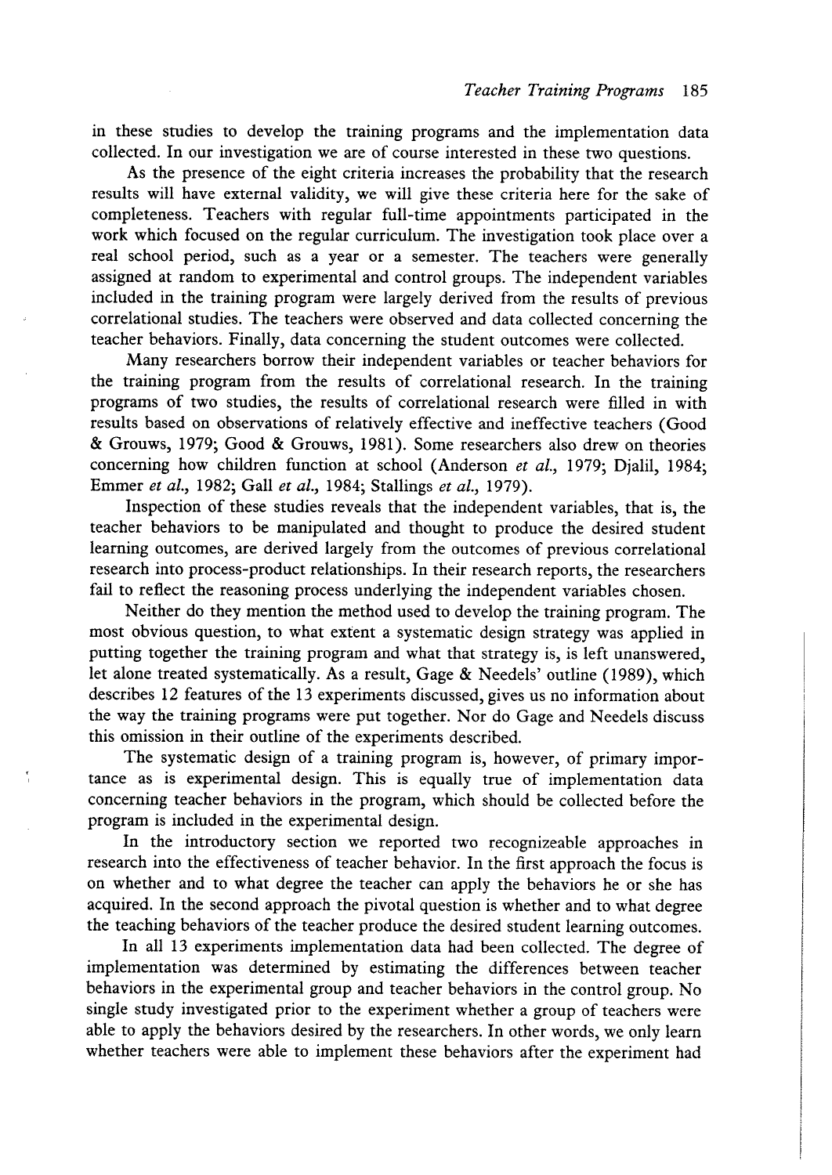in these studies to develop the training programs and the implementation data collected. In our investigation we are of course interested in these two questions.

As the presence of the eight criteria increases the probability that the research results will have external validity, we will give these criteria here for the sake of completeness. Teachers with regular full-time appointments participated in the work which focused on the regular curriculum. The investigation took place over a real school period, such as a year or a semester. The teachers were generally assigned at random to experimental and control groups. The independent variables included in the training program were largely derived from the results of previous correlational studies. The teachers were observed and data collected concerning the teacher behaviors. Finally, data concerning the student outcomes were collected.

Many researchers borrow their independent variables or teacher behaviors for the training program from the results of correlational research. In the training programs of two studies, the results of correlational research were filled in with results based on observations of relatively effective and ineffective teachers (Good & Grouws, 1979; Good & Grouws, 1981). Some researchers also drew on theories concerning how children function at school (Anderson et al., 1979; Djalil, 1984; Emmer et al., 1982; Gall et al., 1984; Stallings et al., 1979).

Inspection of these studies reveals that the independent variables, that is, the teacher behaviors to be manipulated and thought to produce the desired student learning outcomes, are derived largely from the outcomes of previous correlational research into process-product relationships. In their research reports, the researchers fail to reflect the reasoning process underlying the independent variables chosen.

Neither do they mention the method used to develop the training program. The most obvious question, to what extent a systematic design strategy was applied in putting together the training program and what that strategy is, is left unanswered, let alone treated systematically. As a result, Gage & Needels' outline (1989), which describes 12 features of the 13 experiments discussed, gives us no information about the way the training programs were put together. Nor do Gage and Needels discuss this omission in their outline of the experiments described.

The systematic design of a training program is, however, of primary importance as is experimental design. This is equally true of implementation data concerning teacher behaviors in the program, which should be collected before the program is included in the experimental design.

In the introductory section we reported two recognizeable approaches in research into the effectiveness of teacher behavior. In the first approach the focus is on whether and to what degree the teacher can apply the behaviors he or she has acquired. In the second approach the pivotal question is whether and to what degree the teaching behaviors of the teacher produce the desired student learning outcomes.

In all 13 experiments implementation data had been collected. The degree of implementation was determined by estimating the differences between teacher behaviors in the experimental group and teacher behaviors in the control group. No single study investigated prior to the experiment whether a group of teachers were able to apply the behaviors desired by the researchers. In other words, we only learn whether teachers were able to implement these behaviors after the experiment had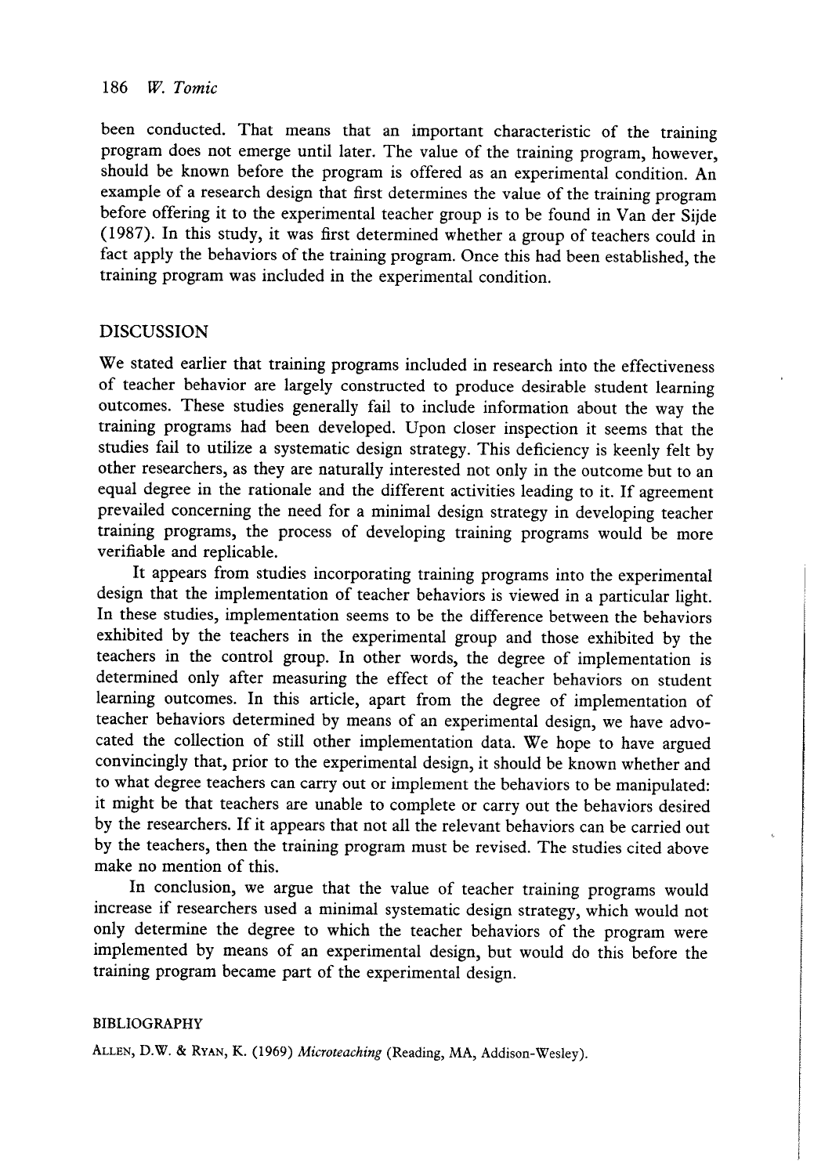#### 186 W. Tomic

been conducted. That means that an important characteristic of the training program does not emerge until later. The value of the training program, however, should be known before the program is offered as an experimental condition. An example of a research design that first determines the value of the training program before offering it to the experimental teacher group is to be found in Van der Sijde (1987). In this study, it was first determined whether a group of teachers could in fact apply the behaviors of the training program. Once this had been established, the training program was included in the experimental condition.

## **DISCUSSION**

We stated earlier that training programs included in research into the effectiveness of teacher behavior are largely constructed to produce desirable student learning outcomes. These studies generally fail to include information about the way the training programs had been developed. Upon closer inspection it seems that the studies fail to utilize a systematic design strategy. This deficiency is keenly felt by other researchers, as they are naturally interested not only in the outcome but to an equal degree in the rationale and the different activities leading to it. If agreement prevailed concerning the need for a minimal design strategy in developing teacher training programs, the process of developing training programs would be more verifiable and replicable.

It appears from studies incorporating training programs into the experimental design that the implementation of teacher behaviors is viewed in a particular light. In these studies, implementation seems to be the difference between the behaviors exhibited by the teachers in the experimental group and those exhibited by the teachers in the control group. In other words, the degree of implementation is determined only after measuring the effect of the teacher behaviors on student learning outcomes. In this article, apart from the degree of implementation of teacher behaviors determined by means of an experimental design, we have advocated the collection of still other implementation data. We hope to have argued convincingly that, prior to the experimental design, it should be known whether and to what degree teachers can carry out or implement the behaviors to be manipulated: it might be that teachers are unable to complete or carry out the behaviors desired by the researchers. If it appears that not all the relevant behaviors can be carried out by the teachers, then the training program must be revised. The studies cited above make no mention of this.

In conclusion, we argue that the value of teacher training programs would increase if researchers used a minimal systematic design strategy, which would not only determine the degree to which the teacher behaviors of the program were implemented by means of an experimental design, but would do this before the training program became part of the experimental design.

### **BIBLIOGRAPHY**

ALLEN, D.W. & RYAN, K. (1969) Microteaching (Reading, MA, Addison-Wesley).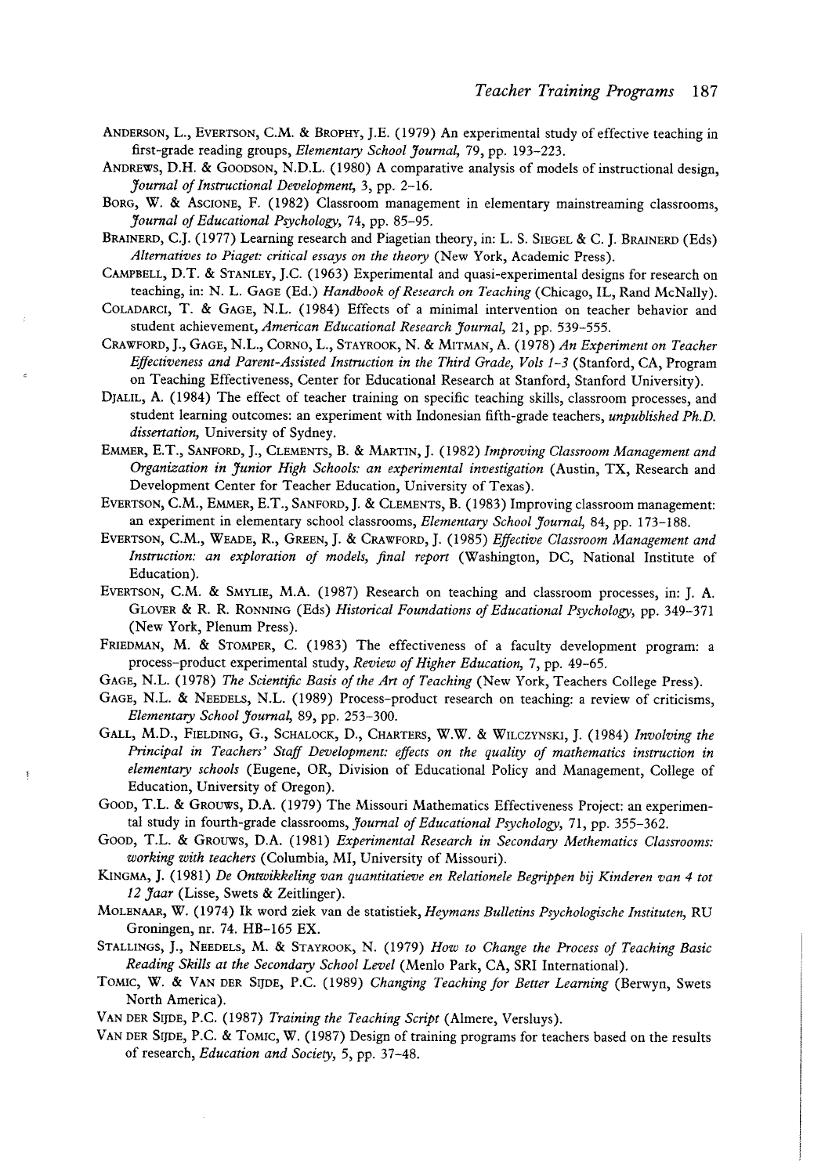- ANDERSON, L., EVERTSON, C.M. & BROPHY, J.E. (1979) An experimental study of effective teaching in first-grade reading groups, Elementary School Journal, 79, pp. 193-223.
- ANDREWS, D.H. & GOODSON, N.D.L. (1980) A comparative analysis of models of instructional design, Journal of Instructional Development, 3, pp. 2-16.
- BORG, W. & ASCIONE, F. (1982) Classroom management in elementary mainstreaming classrooms, Journal of Educational Psychology, 74, pp. 85-95.
- BRAINERD, C.J. (1977) Learning research and Piagetian theory, in: L. S. SIEGEL & C. J. BRAINERD (Eds) Alternatives to Piaget: critical essays on the theory (New York, Academic Press).
- CAMPBELL, D.T. & STANLEY, J.C. (1963) Experimental and quasi-experimental designs for research on teaching, in: N. L. GAGE (Ed.) Handbook of Research on Teaching (Chicago, IL, Rand McNally).
- COLADARCI, T. & GAGE, N.L. (1984) Effects of a minimal intervention on teacher behavior and student achievement, American Educational Research Journal, 21, pp. 539-555.
- CRAWFORD, J., GAGE, N.L., CORNO, L., STAYROOK, N. & MITMAN, A. (1978) An Experiment on Teacher Effectiveness and Parent-Assisted Instruction in the Third Grade, Vols 1-3 (Stanford, CA, Program on Teaching Effectiveness, Center for Educational Research at Stanford, Stanford University).
- DJALIL, A. (1984) The effect of teacher training on specific teaching skills, classroom processes, and student learning outcomes: an experiment with Indonesian fifth-grade teachers, unpublished Ph.D. dissertation, University of Sydney.
- EMMER, E.T., SANFORD, J., CLEMENTS, B. & MARTIN, J. (1982) Improving Classroom Management and Organization in Junior High Schools: an experimental investigation (Austin, TX, Research and Development Center for Teacher Education, University of Texas).
- EVERTSON, C.M., EMMER, E.T., SANFORD, J. & CLEMENTS, B. (1983) Improving classroom management: an experiment in elementary school classrooms, Elementary School Journal, 84, pp. 173-188.
- EVERTSON, C.M., WEADE, R., GREEN, J. & CRAWFORD, J. (1985) Effective Classroom Management and Instruction: an exploration of models, final report (Washington, DC, National Institute of Education).
- EVERTSON, C.M. & SMYLIE, M.A. (1987) Research on teaching and classroom processes, in: J. A. GLOVER & R. R. RONNING (Eds) Historical Foundations of Educational Psychology, pp. 349-371 (New York, Plenum Press).
- FRIEDMAN, M. & STOMPER, C. (1983) The effectiveness of a faculty development program: a process-product experimental study, Review of Higher Education, 7, pp. 49-65.
- GAGE, N.L. (1978) The Scientific Basis of the Art of Teaching (New York, Teachers College Press).
- GAGE, N.L. & NEEDELS, N.L. (1989) Process-product research on teaching: a review of criticisms, Elementary School Journal, 89, pp. 253-300.
- GALL, M.D., FIELDING, G., SCHALOCK, D., CHARTERS, W.W. & WILCZYNSKI, J. (1984) Involving the Principal in Teachers' Staff Development: effects on the quality of mathematics instruction in elementary schools (Eugene, OR, Division of Educational Policy and Management, College of Education, University of Oregon).
- GOOD, T.L. & GROUWS, D.A. (1979) The Missouri Mathematics Effectiveness Project: an experimental study in fourth-grade classrooms, *Journal of Educational Psychology*, 71, pp. 355-362.
- GOOD, T.L. & GROUWS, D.A. (1981) Experimental Research in Secondary Methematics Classrooms: working with teachers (Columbia, MI, University of Missouri).
- KINGMA, J. (1981) De Ontwikkeling van quantitatieve en Relationele Begrippen bij Kinderen van 4 tot 12 Jaar (Lisse, Swets & Zeitlinger).
- MOLENAAR, W. (1974) Ik word ziek van de statistiek, Heymans Bulletins Psychologische Instituten, RU Groningen, nr. 74. HB-165 EX.
- STALLINGS, J., NEEDELS, M. & STAYROOK, N. (1979) How to Change the Process of Teaching Basic Reading Skills at the Secondary School Level (Menlo Park, CA, SRI International).
- TOMIC, W. & VAN DER SIJDE, P.C. (1989) Changing Teaching for Better Learning (Berwyn, Swets North America).
- VAN DER SIJDE, P.C. (1987) Training the Teaching Script (Almere, Versluys).
- VAN DER SIJDE, P.C. & TOMIC, W. (1987) Design of training programs for teachers based on the results of research, Education and Society, 5, pp. 37-48.